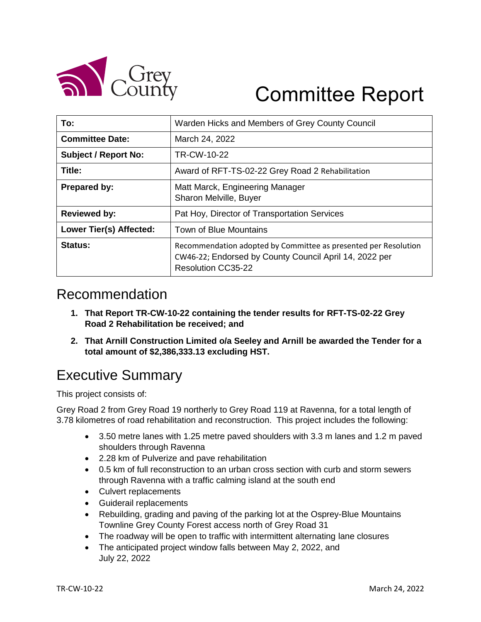

# Committee Report

| To:                         | Warden Hicks and Members of Grey County Council                                                                                                        |  |  |
|-----------------------------|--------------------------------------------------------------------------------------------------------------------------------------------------------|--|--|
| <b>Committee Date:</b>      | March 24, 2022                                                                                                                                         |  |  |
| <b>Subject / Report No:</b> | TR-CW-10-22                                                                                                                                            |  |  |
| Title:                      | Award of RFT-TS-02-22 Grey Road 2 Rehabilitation                                                                                                       |  |  |
| Prepared by:                | Matt Marck, Engineering Manager<br>Sharon Melville, Buyer                                                                                              |  |  |
| <b>Reviewed by:</b>         | Pat Hoy, Director of Transportation Services                                                                                                           |  |  |
| Lower Tier(s) Affected:     | Town of Blue Mountains                                                                                                                                 |  |  |
| Status:                     | Recommendation adopted by Committee as presented per Resolution<br>CW46-22; Endorsed by County Council April 14, 2022 per<br><b>Resolution CC35-22</b> |  |  |

## Recommendation

- **1. That Report TR-CW-10-22 containing the tender results for RFT-TS-02-22 Grey Road 2 Rehabilitation be received; and**
- **2. That Arnill Construction Limited o/a Seeley and Arnill be awarded the Tender for a total amount of \$2,386,333.13 excluding HST.**

# Executive Summary

This project consists of:

Grey Road 2 from Grey Road 19 northerly to Grey Road 119 at Ravenna, for a total length of 3.78 kilometres of road rehabilitation and reconstruction. This project includes the following:

- 3.50 metre lanes with 1.25 metre paved shoulders with 3.3 m lanes and 1.2 m paved shoulders through Ravenna
- 2.28 km of Pulverize and pave rehabilitation
- 0.5 km of full reconstruction to an urban cross section with curb and storm sewers through Ravenna with a traffic calming island at the south end
- Culvert replacements
- Guiderail replacements
- Rebuilding, grading and paving of the parking lot at the Osprey-Blue Mountains Townline Grey County Forest access north of Grey Road 31
- The roadway will be open to traffic with intermittent alternating lane closures
- The anticipated project window falls between May 2, 2022, and July 22, 2022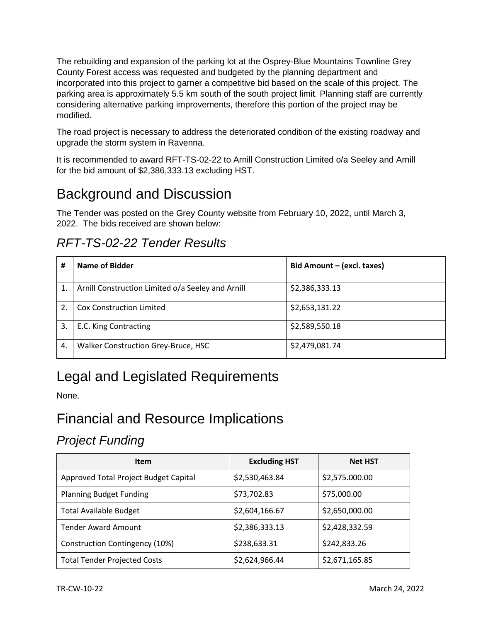The rebuilding and expansion of the parking lot at the Osprey-Blue Mountains Townline Grey County Forest access was requested and budgeted by the planning department and incorporated into this project to garner a competitive bid based on the scale of this project. The parking area is approximately 5.5 km south of the south project limit. Planning staff are currently considering alternative parking improvements, therefore this portion of the project may be modified.

The road project is necessary to address the deteriorated condition of the existing roadway and upgrade the storm system in Ravenna.

It is recommended to award RFT-TS-02-22 to Arnill Construction Limited o/a Seeley and Arnill for the bid amount of \$2,386,333.13 excluding HST.

# Background and Discussion

The Tender was posted on the Grey County website from February 10, 2022, until March 3, 2022. The bids received are shown below:

### *RFT-TS-02-22 Tender Results*

| #  | Name of Bidder                                    | Bid Amount - (excl. taxes) |
|----|---------------------------------------------------|----------------------------|
| 1. | Arnill Construction Limited o/a Seeley and Arnill | \$2,386,333.13             |
| 2. | <b>Cox Construction Limited</b>                   | \$2,653,131.22             |
| 3. | E.C. King Contracting                             | \$2,589,550.18             |
| 4. | Walker Construction Grey-Bruce, HSC               | \$2,479,081.74             |

# Legal and Legislated Requirements

None.

# Financial and Resource Implications

#### *Project Funding*

| <b>Item</b>                           | <b>Excluding HST</b> | <b>Net HST</b> |
|---------------------------------------|----------------------|----------------|
| Approved Total Project Budget Capital | \$2,530,463.84       | \$2,575.000.00 |
| <b>Planning Budget Funding</b>        | \$73,702.83          | \$75,000.00    |
| <b>Total Available Budget</b>         | \$2,604,166.67       | \$2,650,000.00 |
| <b>Tender Award Amount</b>            | \$2,386,333.13       | \$2,428,332.59 |
| Construction Contingency (10%)        | \$238,633.31         | \$242,833.26   |
| <b>Total Tender Projected Costs</b>   | \$2,624,966.44       | \$2,671,165.85 |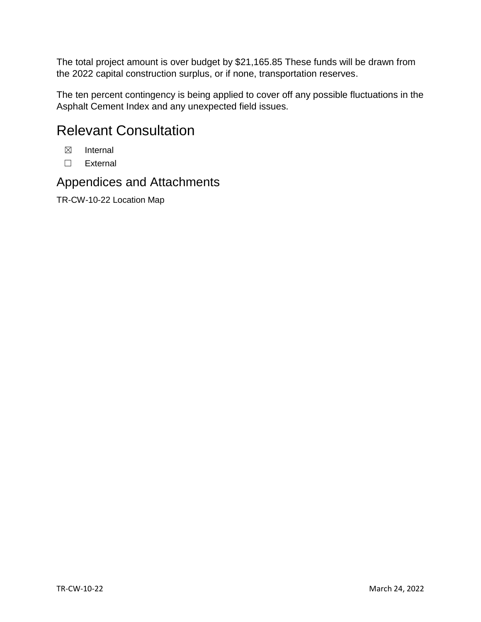The total project amount is over budget by \$21,165.85 These funds will be drawn from the 2022 capital construction surplus, or if none, transportation reserves.

The ten percent contingency is being applied to cover off any possible fluctuations in the Asphalt Cement Index and any unexpected field issues.

# Relevant Consultation

- ☒ Internal
- ☐ External

#### Appendices and Attachments

TR-CW-10-22 Location Map